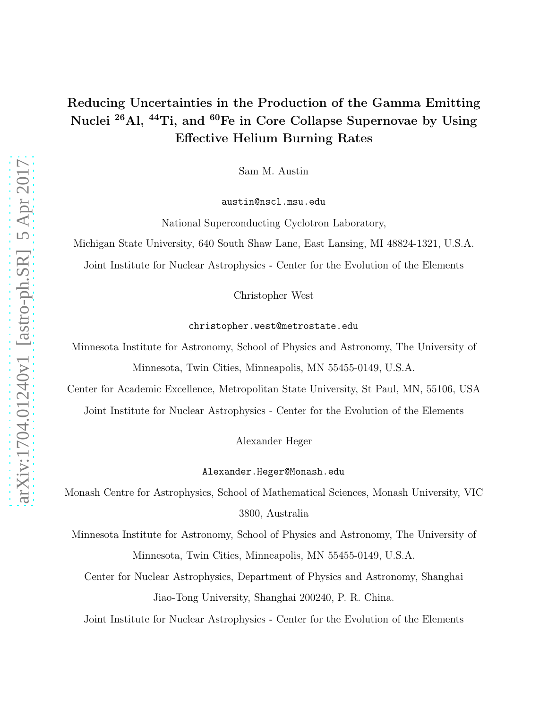# Reducing Uncertainties in the Production of the Gamma Emitting Nuclei <sup>26</sup>Al, <sup>44</sup>Ti, and <sup>60</sup>Fe in Core Collapse Supernovae by Using Effective Helium Burning Rates

Sam M. Austin

austin@nscl.msu.edu

National Superconducting Cyclotron Laboratory,

Michigan State University, 640 South Shaw Lane, East Lansing, MI 48824-1321, U.S.A.

Joint Institute for Nuclear Astrophysics - Center for the Evolution of the Elements

Christopher West

christopher.west@metrostate.edu

Minnesota Institute for Astronomy, School of Physics and Astronomy, The University of Minnesota, Twin Cities, Minneapolis, MN 55455-0149, U.S.A.

Center for Academic Excellence, Metropolitan State University, St Paul, MN, 55106, USA Joint Institute for Nuclear Astrophysics - Center for the Evolution of the Elements

Alexander Heger

#### Alexander.Heger@Monash.edu

Monash Centre for Astrophysics, School of Mathematical Sciences, Monash University, VIC 3800, Australia

Minnesota Institute for Astronomy, School of Physics and Astronomy, The University of Minnesota, Twin Cities, Minneapolis, MN 55455-0149, U.S.A.

Center for Nuclear Astrophysics, Department of Physics and Astronomy, Shanghai Jiao-Tong University, Shanghai 200240, P. R. China.

Joint Institute for Nuclear Astrophysics - Center for the Evolution of the Elements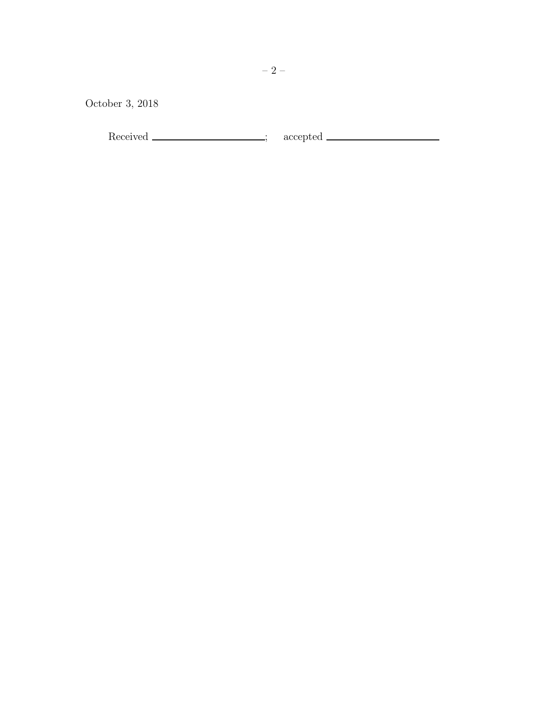October 3, 2018

Received ; accepted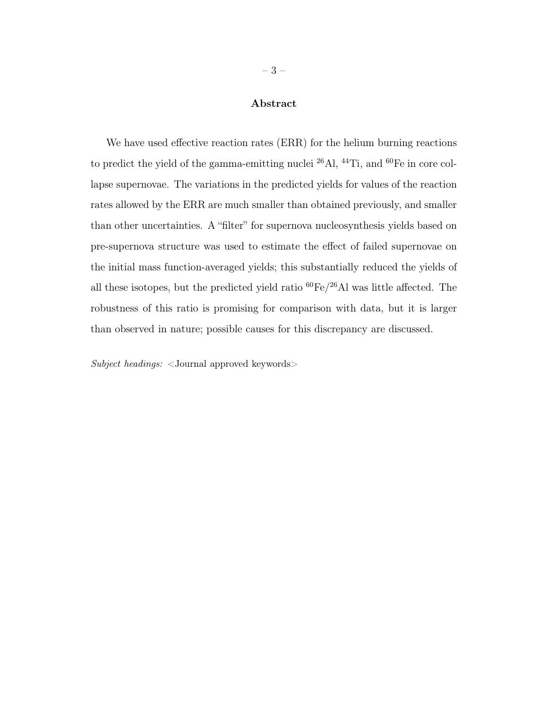## Abstract

We have used effective reaction rates (ERR) for the helium burning reactions to predict the yield of the gamma-emitting nuclei <sup>26</sup>Al, <sup>44</sup>Ti, and <sup>60</sup>Fe in core collapse supernovae. The variations in the predicted yields for values of the reaction rates allowed by the ERR are much smaller than obtained previously, and smaller than other uncertainties. A "filter" for supernova nucleosynthesis yields based on pre-supernova structure was used to estimate the effect of failed supernovae on the initial mass function-averaged yields; this substantially reduced the yields of all these isotopes, but the predicted yield ratio  ${}^{60}Fe/{}^{26}Al$  was little affected. The robustness of this ratio is promising for comparison with data, but it is larger than observed in nature; possible causes for this discrepancy are discussed.

Subject headings: <Journal approved keywords>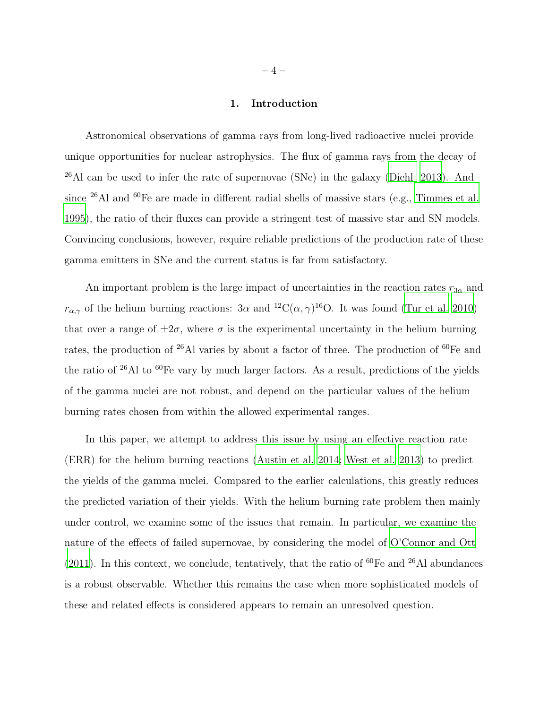#### 1. Introduction

Astronomical observations of gamma rays from long-lived radioactive nuclei provide unique opportunities for nuclear astrophysics. The flux of gamma rays from the decay of  $26$ Al can be used to infer the rate of supernovae (SNe) in the galaxy [\(Diehl 2013\)](#page-14-0). And since <sup>26</sup>Al and <sup>60</sup>Fe are made in different radial shells of massive stars (e.g., [Timmes et al.](#page-15-0) [1995\)](#page-15-0), the ratio of their fluxes can provide a stringent test of massive star and SN models. Convincing conclusions, however, require reliable predictions of the production rate of these gamma emitters in SNe and the current status is far from satisfactory.

An important problem is the large impact of uncertainties in the reaction rates  $r_{3\alpha}$  and  $r_{\alpha,\gamma}$  of the helium burning reactions: 3 $\alpha$  and <sup>12</sup>C( $\alpha, \gamma$ )<sup>16</sup>O. It was found [\(Tur et al. 2010\)](#page-15-1) that over a range of  $\pm 2\sigma$ , where  $\sigma$  is the experimental uncertainty in the helium burning rates, the production of  $26$ Al varies by about a factor of three. The production of  $60$ Fe and the ratio of  $26$ Al to  $60$ Fe vary by much larger factors. As a result, predictions of the yields of the gamma nuclei are not robust, and depend on the particular values of the helium burning rates chosen from within the allowed experimental ranges.

In this paper, we attempt to address this issue by using an effective reaction rate (ERR) for the helium burning reactions [\(Austin et al. 2014;](#page-14-1) [West et al. 2013\)](#page-15-2) to predict the yields of the gamma nuclei. Compared to the earlier calculations, this greatly reduces the predicted variation of their yields. With the helium burning rate problem then mainly under control, we examine some of the issues that remain. In particular, we examine the nature of the effects of failed supernovae, by considering the model of [O'Connor and Ott](#page-14-2) [\(2011\)](#page-14-2). In this context, we conclude, tentatively, that the ratio of  ${}^{60}Fe$  and  ${}^{26}Al$  abundances is a robust observable. Whether this remains the case when more sophisticated models of these and related effects is considered appears to remain an unresolved question.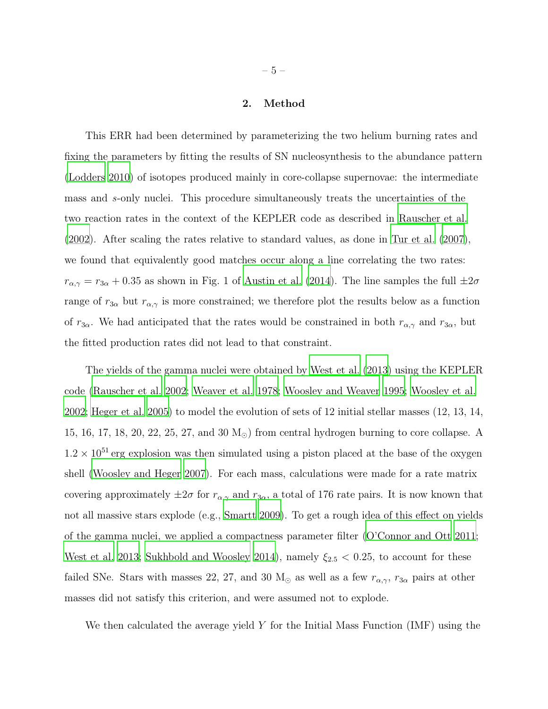#### 2. Method

This ERR had been determined by parameterizing the two helium burning rates and fixing the parameters by fitting the results of SN nucleosynthesis to the abundance pattern [\(Lodders 2010\)](#page-14-3) of isotopes produced mainly in core-collapse supernovae: the intermediate mass and s-only nuclei. This procedure simultaneously treats the uncertainties of the two reaction rates in the context of the KEPLER code as described in [Rauscher et al.](#page-15-3) [\(2002\)](#page-15-3). After scaling the rates relative to standard values, as done in [Tur et al. \(2007\)](#page-15-4), we found that equivalently good matches occur along a line correlating the two rates:  $r_{\alpha,\gamma} = r_{3\alpha} + 0.35$  as shown in Fig. 1 of [Austin et al. \(2014](#page-14-1)). The line samples the full  $\pm 2\sigma$ range of  $r_{3\alpha}$  but  $r_{\alpha,\gamma}$  is more constrained; we therefore plot the results below as a function of  $r_{3\alpha}$ . We had anticipated that the rates would be constrained in both  $r_{\alpha,\gamma}$  and  $r_{3\alpha}$ , but the fitted production rates did not lead to that constraint.

The yields of the gamma nuclei were obtained by [West et al. \(2013\)](#page-15-2) using the KEPLER code [\(Rauscher et al. 2002](#page-15-3); [Weaver et al. 1978;](#page-15-5) [Woosley and Weaver 1995](#page-15-6); [Woosley et al.](#page-15-7) [2002;](#page-15-7) [Heger et al. 2005\)](#page-14-4) to model the evolution of sets of 12 initial stellar masses (12, 13, 14, 15, 16, 17, 18, 20, 22, 25, 27, and 30 M⊙) from central hydrogen burning to core collapse. A  $1.2 \times 10^{51}$  erg explosion was then simulated using a piston placed at the base of the oxygen shell [\(Woosley and Heger 2007\)](#page-15-8). For each mass, calculations were made for a rate matrix covering approximately  $\pm 2\sigma$  for  $r_{\alpha,\gamma}$  and  $r_{3\alpha}$ , a total of 176 rate pairs. It is now known that not all massive stars explode (e.g., [Smartt 2009](#page-15-9)). To get a rough idea of this effect on yields of the gamma nuclei, we applied a compactness parameter filter [\(O'Connor and Ott 2011;](#page-14-2) [West et al. 2013](#page-15-2); [Sukhbold and Woosley 2014\)](#page-15-10), namely  $\xi_{2.5}$  < 0.25, to account for these failed SNe. Stars with masses 22, 27, and 30  $M_{\odot}$  as well as a few  $r_{\alpha,\gamma}$ ,  $r_{3\alpha}$  pairs at other masses did not satisfy this criterion, and were assumed not to explode.

We then calculated the average yield Y for the Initial Mass Function  $(MF)$  using the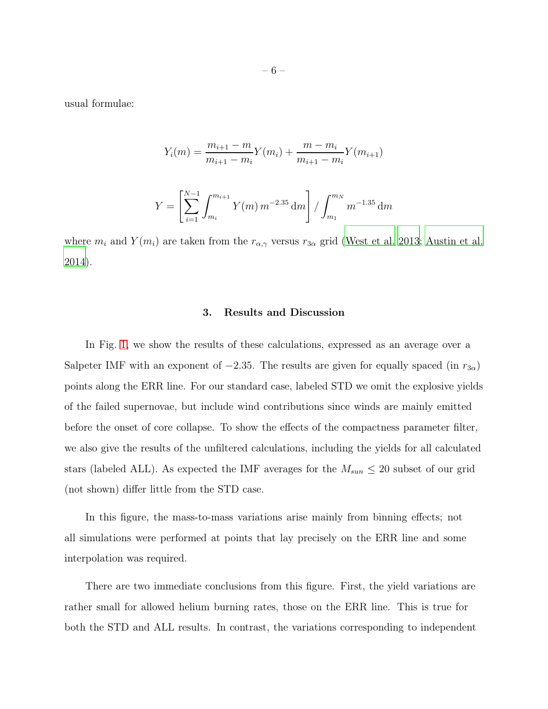usual formulae:

$$
Y_i(m) = \frac{m_{i+1} - m}{m_{i+1} - m_i} Y(m_i) + \frac{m - m_i}{m_{i+1} - m_i} Y(m_{i+1})
$$

$$
Y = \left[ \sum_{i=1}^{N-1} \int_{m_i}^{m_{i+1}} Y(m) \, m^{-2.35} \, \mathrm{d}m \right] / \int_{m_1}^{m_N} m^{-1.35} \, \mathrm{d}m
$$

where  $m_i$  and  $Y(m_i)$  are taken from the  $r_{\alpha,\gamma}$  versus  $r_{3\alpha}$  grid [\(West et al. 2013;](#page-15-2) [Austin et al.](#page-14-1) [2014\)](#page-14-1).

#### 3. Results and Discussion

In Fig. [1,](#page-6-0) we show the results of these calculations, expressed as an average over a Salpeter IMF with an exponent of  $-2.35$ . The results are given for equally spaced (in  $r_{3\alpha}$ ) points along the ERR line. For our standard case, labeled STD we omit the explosive yields of the failed supernovae, but include wind contributions since winds are mainly emitted before the onset of core collapse. To show the effects of the compactness parameter filter, we also give the results of the unfiltered calculations, including the yields for all calculated stars (labeled ALL). As expected the IMF averages for the  $M_{sun} \leq 20$  subset of our grid (not shown) differ little from the STD case.

In this figure, the mass-to-mass variations arise mainly from binning effects; not all simulations were performed at points that lay precisely on the ERR line and some interpolation was required.

There are two immediate conclusions from this figure. First, the yield variations are rather small for allowed helium burning rates, those on the ERR line. This is true for both the STD and ALL results. In contrast, the variations corresponding to independent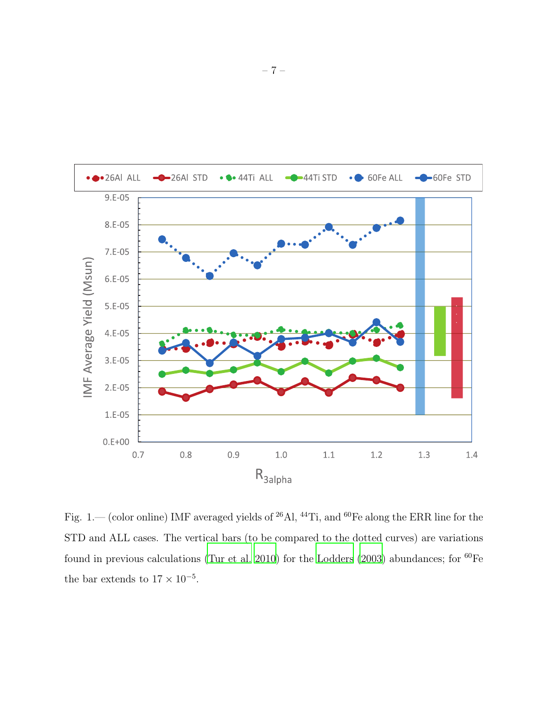

<span id="page-6-0"></span>Fig. 1.— (color online) IMF averaged yields of <sup>26</sup>Al, <sup>44</sup>Ti, and <sup>60</sup>Fe along the ERR line for the STD and ALL cases. The vertical bars (to be compared to the dotted curves) are variations found in previous calculations [\(Tur et al. 2010](#page-15-1)) for the [Lodders \(2003\)](#page-14-5) abundances; for  ${}^{60}Fe$ the bar extends to  $17 \times 10^{-5}$ .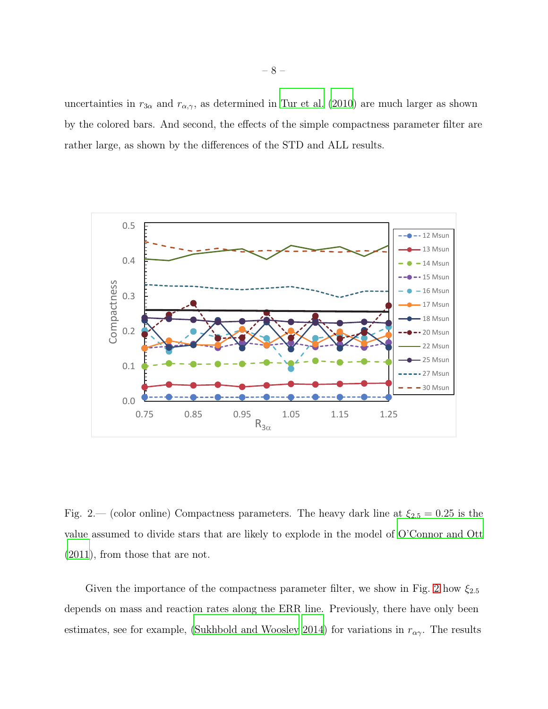uncertainties in  $r_{3\alpha}$  and  $r_{\alpha,\gamma}$ , as determined in [Tur et al. \(2010\)](#page-15-1) are much larger as shown by the colored bars. And second, the effects of the simple compactness parameter filter are rather large, as shown by the differences of the STD and ALL results.



<span id="page-7-0"></span>Fig. 2.— (color online) Compactness parameters. The heavy dark line at  $\xi_{2.5} = 0.25$  is the value assumed to divide stars that are likely to explode in the model of [O'Connor and Ott](#page-14-2) [\(2011\)](#page-14-2), from those that are not.

Given the importance of the compactness parameter filter, we show in Fig. [2](#page-7-0) how  $\xi_{2.5}$ depends on mass and reaction rates along the ERR line. Previously, there have only been estimates, see for example, [\(Sukhbold and Woosley 2014\)](#page-15-10) for variations in  $r_{\alpha\gamma}$ . The results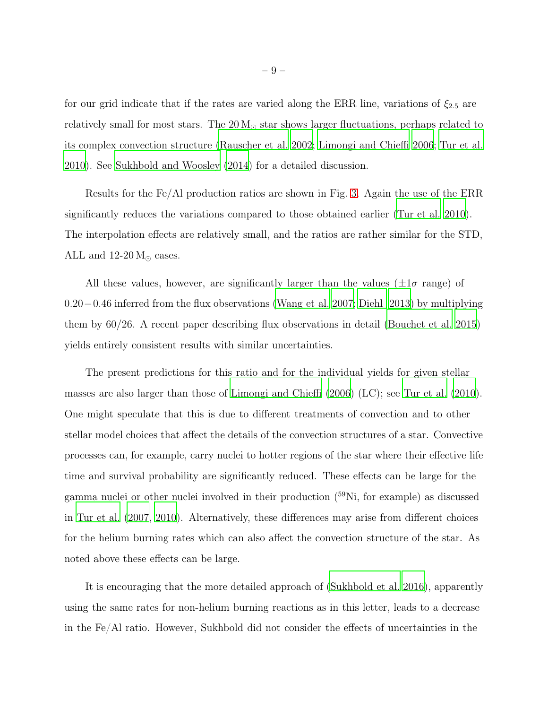for our grid indicate that if the rates are varied along the ERR line, variations of  $\xi_{2.5}$  are relatively small for most stars. The  $20 M_{\odot}$  star shows larger fluctuations, perhaps related to its complex convection structure [\(Rauscher et al. 2002](#page-15-3); [Limongi and Chieffi 2006;](#page-14-6) [Tur et al.](#page-15-1) [2010\)](#page-15-1). See [Sukhbold and Woosley \(2014\)](#page-15-10) for a detailed discussion.

Results for the Fe/Al production ratios are shown in Fig. [3.](#page-9-0) Again the use of the ERR significantly reduces the variations compared to those obtained earlier [\(Tur et al. 2010](#page-15-1)). The interpolation effects are relatively small, and the ratios are rather similar for the STD, ALL and  $12{\text -}20 \text{ M}_{\odot}$  cases.

All these values, however, are significantly larger than the values ( $\pm 1\sigma$  range) of 0.20−0.46 inferred from the flux observations [\(Wang et al. 2007;](#page-15-11) [Diehl 2013\)](#page-14-0) by multiplying them by 60/26. A recent paper describing flux observations in detail [\(Bouchet et al. 2015\)](#page-14-7) yields entirely consistent results with similar uncertainties.

The present predictions for this ratio and for the individual yields for given stellar masses are also larger than those of [Limongi and Chieffi \(2006\)](#page-14-6) (LC); see [Tur et al. \(2010\)](#page-15-1). One might speculate that this is due to different treatments of convection and to other stellar model choices that affect the details of the convection structures of a star. Convective processes can, for example, carry nuclei to hotter regions of the star where their effective life time and survival probability are significantly reduced. These effects can be large for the gamma nuclei or other nuclei involved in their production (<sup>59</sup>Ni, for example) as discussed in [Tur et al. \(2007,](#page-15-4) [2010](#page-15-1)). Alternatively, these differences may arise from different choices for the helium burning rates which can also affect the convection structure of the star. As noted above these effects can be large.

It is encouraging that the more detailed approach of [\(Sukhbold et al. 2016\)](#page-15-12), apparently using the same rates for non-helium burning reactions as in this letter, leads to a decrease in the Fe/Al ratio. However, Sukhbold did not consider the effects of uncertainties in the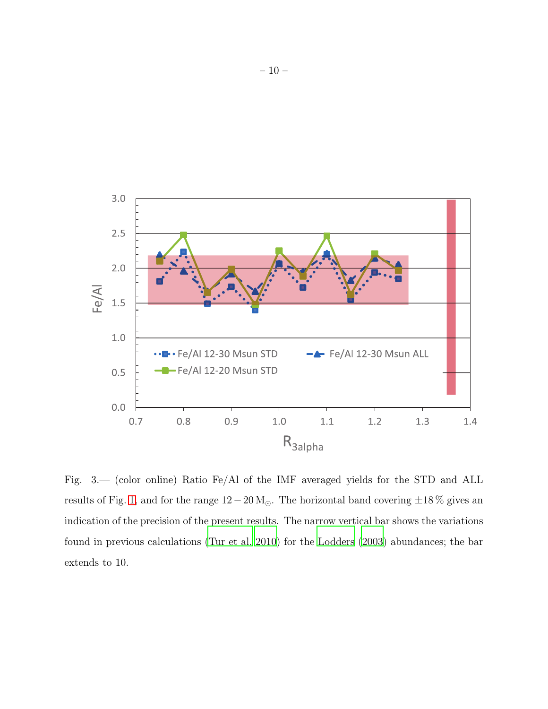

<span id="page-9-0"></span>Fig. 3.— (color online) Ratio Fe/Al of the IMF averaged yields for the STD and ALL results of Fig. [1,](#page-6-0) and for the range  $12-20 \text{ M}_{\odot}$ . The horizontal band covering  $\pm 18 \%$  gives an indication of the precision of the present results. The narrow vertical bar shows the variations found in previous calculations [\(Tur et al. 2010\)](#page-15-1) for the [Lodders \(2003](#page-14-5)) abundances; the bar extends to 10.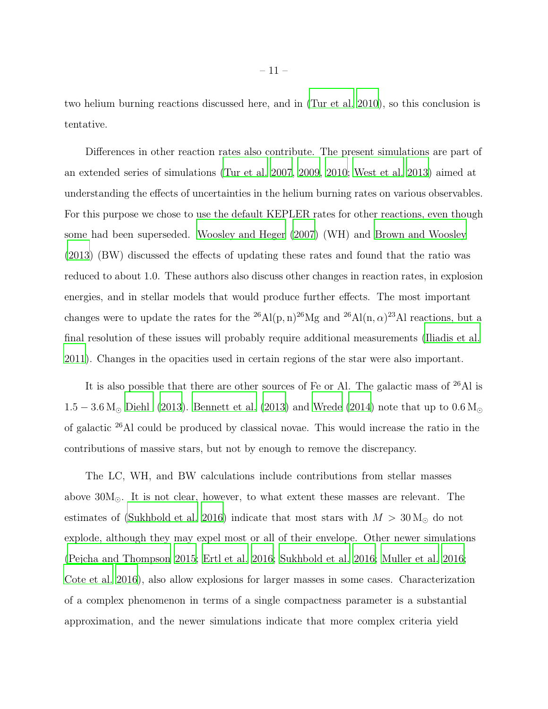two helium burning reactions discussed here, and in [\(Tur et al. 2010\)](#page-15-1), so this conclusion is tentative.

Differences in other reaction rates also contribute. The present simulations are part of an extended series of simulations [\(Tur et al. 2007,](#page-15-4) [2009](#page-15-13), [2010](#page-15-1); [West et al. 2013\)](#page-15-2) aimed at understanding the effects of uncertainties in the helium burning rates on various observables. For this purpose we chose to use the default KEPLER rates for other reactions, even though some had been superseded. [Woosley and Heger \(2007\)](#page-15-8) (WH) and [Brown and Woosley](#page-14-8) [\(2013\)](#page-14-8) (BW) discussed the effects of updating these rates and found that the ratio was reduced to about 1.0. These authors also discuss other changes in reaction rates, in explosion energies, and in stellar models that would produce further effects. The most important changes were to update the rates for the <sup>26</sup>Al(p, n)<sup>26</sup>Mg and <sup>26</sup>Al(n,  $\alpha$ )<sup>23</sup>Al reactions, but a final resolution of these issues will probably require additional measurements [\(Iliadis et al.](#page-14-9) [2011\)](#page-14-9). Changes in the opacities used in certain regions of the star were also important.

It is also possible that there are other sources of Fe or Al. The galactic mass of  $^{26}\mathrm{Al}$  is  $1.5 - 3.6 M_{\odot}$  [Diehl \(2013](#page-14-0)). [Bennett et al. \(2013\)](#page-14-10) and [Wrede \(2014](#page-15-14)) note that up to  $0.6 M_{\odot}$ of galactic <sup>26</sup>Al could be produced by classical novae. This would increase the ratio in the contributions of massive stars, but not by enough to remove the discrepancy.

The LC, WH, and BW calculations include contributions from stellar masses above 30M⊙. It is not clear, however, to what extent these masses are relevant. The estimates of [\(Sukhbold et al. 2016](#page-15-12)) indicate that most stars with  $M > 30$  M<sub>o</sub> do not explode, although they may expel most or all of their envelope. Other newer simulations [\(Pejcha and Thompson 2015;](#page-15-15) [Ertl et al. 2016](#page-14-11); [Sukhbold et al. 2016;](#page-15-12) [Muller et al. 2016](#page-14-12); [Cote et al. 2016\)](#page-14-13), also allow explosions for larger masses in some cases. Characterization of a complex phenomenon in terms of a single compactness parameter is a substantial approximation, and the newer simulations indicate that more complex criteria yield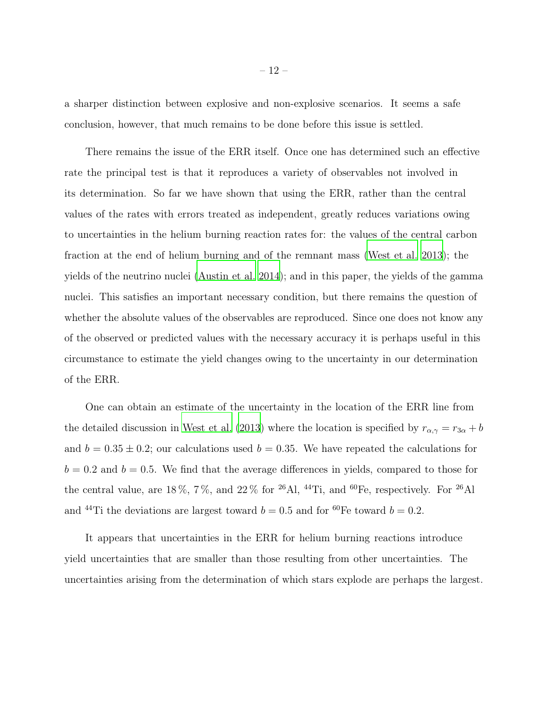a sharper distinction between explosive and non-explosive scenarios. It seems a safe conclusion, however, that much remains to be done before this issue is settled.

There remains the issue of the ERR itself. Once one has determined such an effective rate the principal test is that it reproduces a variety of observables not involved in its determination. So far we have shown that using the ERR, rather than the central values of the rates with errors treated as independent, greatly reduces variations owing to uncertainties in the helium burning reaction rates for: the values of the central carbon fraction at the end of helium burning and of the remnant mass [\(West et al. 2013\)](#page-15-2); the yields of the neutrino nuclei [\(Austin et al. 2014\)](#page-14-1); and in this paper, the yields of the gamma nuclei. This satisfies an important necessary condition, but there remains the question of whether the absolute values of the observables are reproduced. Since one does not know any of the observed or predicted values with the necessary accuracy it is perhaps useful in this circumstance to estimate the yield changes owing to the uncertainty in our determination of the ERR.

One can obtain an estimate of the uncertainty in the location of the ERR line from the detailed discussion in [West et al.](#page-15-2) [\(2013\)](#page-15-2) where the location is specified by  $r_{\alpha,\gamma} = r_{3\alpha} + b$ and  $b = 0.35 \pm 0.2$ ; our calculations used  $b = 0.35$ . We have repeated the calculations for  $b = 0.2$  and  $b = 0.5$ . We find that the average differences in yields, compared to those for the central value, are  $18\%, 7\%,$  and  $22\%$  for <sup>26</sup>Al, <sup>44</sup>Ti, and <sup>60</sup>Fe, respectively. For <sup>26</sup>Al and <sup>44</sup>Ti the deviations are largest toward  $b = 0.5$  and for <sup>60</sup>Fe toward  $b = 0.2$ .

It appears that uncertainties in the ERR for helium burning reactions introduce yield uncertainties that are smaller than those resulting from other uncertainties. The uncertainties arising from the determination of which stars explode are perhaps the largest.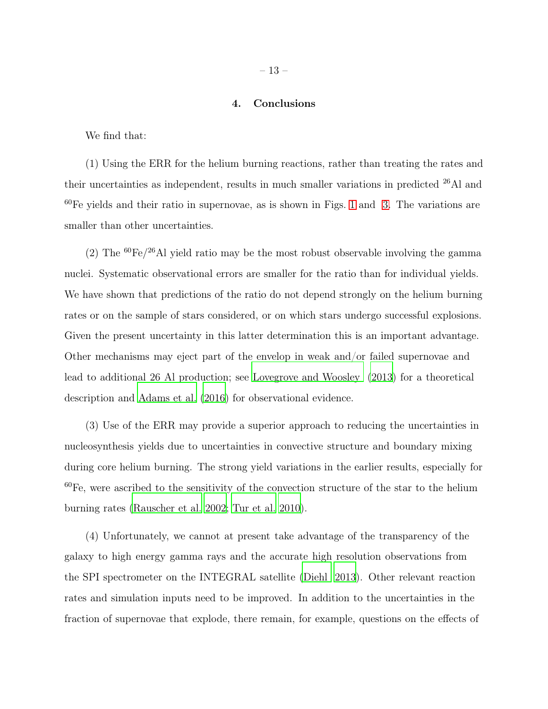### 4. Conclusions

We find that:

(1) Using the ERR for the helium burning reactions, rather than treating the rates and their uncertainties as independent, results in much smaller variations in predicted <sup>26</sup>Al and  $60\text{Fe}$  yields and their ratio in supernovae, as is shown in Figs. [1](#page-6-0) and [3.](#page-9-0) The variations are smaller than other uncertainties.

(2) The  ${}^{60}Fe/{}^{26}Al$  yield ratio may be the most robust observable involving the gamma nuclei. Systematic observational errors are smaller for the ratio than for individual yields. We have shown that predictions of the ratio do not depend strongly on the helium burning rates or on the sample of stars considered, or on which stars undergo successful explosions. Given the present uncertainty in this latter determination this is an important advantage. Other mechanisms may eject part of the envelop in weak and/or failed supernovae and lead to additional 26 Al production; see [Lovegrove and Woosley \(2013\)](#page-14-14) for a theoretical description and [Adams et al. \(2016\)](#page-14-15) for observational evidence.

(3) Use of the ERR may provide a superior approach to reducing the uncertainties in nucleosynthesis yields due to uncertainties in convective structure and boundary mixing during core helium burning. The strong yield variations in the earlier results, especially for  $60\text{Fe}$ , were ascribed to the sensitivity of the convection structure of the star to the helium burning rates [\(Rauscher et al. 2002;](#page-15-3) [Tur et al. 2010\)](#page-15-1).

(4) Unfortunately, we cannot at present take advantage of the transparency of the galaxy to high energy gamma rays and the accurate high resolution observations from the SPI spectrometer on the INTEGRAL satellite [\(Diehl 2013\)](#page-14-0). Other relevant reaction rates and simulation inputs need to be improved. In addition to the uncertainties in the fraction of supernovae that explode, there remain, for example, questions on the effects of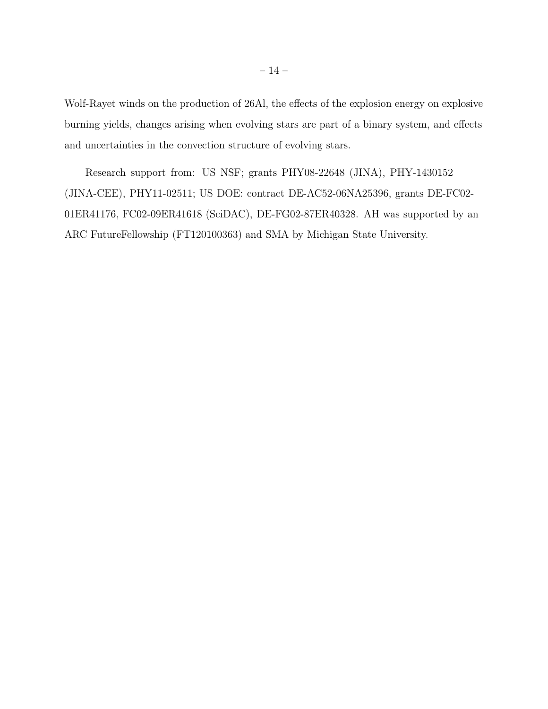Wolf-Rayet winds on the production of 26Al, the effects of the explosion energy on explosive burning yields, changes arising when evolving stars are part of a binary system, and effects and uncertainties in the convection structure of evolving stars.

Research support from: US NSF; grants PHY08-22648 (JINA), PHY-1430152 (JINA-CEE), PHY11-02511; US DOE: contract DE-AC52-06NA25396, grants DE-FC02- 01ER41176, FC02-09ER41618 (SciDAC), DE-FG02-87ER40328. AH was supported by an ARC FutureFellowship (FT120100363) and SMA by Michigan State University.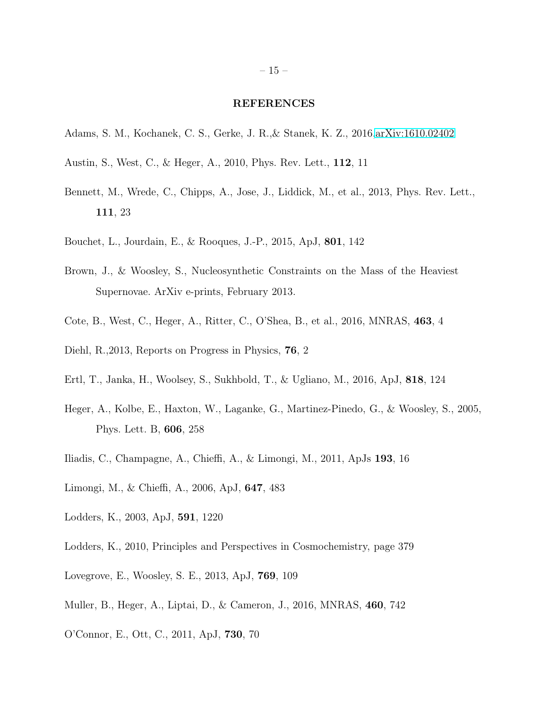#### REFERENCES

- <span id="page-14-15"></span>Adams, S. M., Kochanek, C. S., Gerke, J. R.,& Stanek, K. Z., 2016[,arXiv:1610.02402](http://arxiv.org/abs/1610.02402)
- <span id="page-14-1"></span>Austin, S., West, C., & Heger, A., 2010, Phys. Rev. Lett., 112, 11
- <span id="page-14-10"></span>Bennett, M., Wrede, C., Chipps, A., Jose, J., Liddick, M., et al., 2013, Phys. Rev. Lett., 111, 23
- <span id="page-14-7"></span>Bouchet, L., Jourdain, E., & Rooques, J.-P., 2015, ApJ, 801, 142
- <span id="page-14-8"></span>Brown, J., & Woosley, S., Nucleosynthetic Constraints on the Mass of the Heaviest Supernovae. ArXiv e-prints, February 2013.
- <span id="page-14-13"></span>Cote, B., West, C., Heger, A., Ritter, C., O'Shea, B., et al., 2016, MNRAS, 463, 4
- <span id="page-14-0"></span>Diehl, R.,2013, Reports on Progress in Physics, 76, 2
- <span id="page-14-11"></span>Ertl, T., Janka, H., Woolsey, S., Sukhbold, T., & Ugliano, M., 2016, ApJ, 818, 124
- <span id="page-14-4"></span>Heger, A., Kolbe, E., Haxton, W., Laganke, G., Martinez-Pinedo, G., & Woosley, S., 2005, Phys. Lett. B, 606, 258
- <span id="page-14-9"></span>Iliadis, C., Champagne, A., Chieffi, A., & Limongi, M., 2011, ApJs 193, 16
- <span id="page-14-6"></span>Limongi, M., & Chieffi, A., 2006, ApJ, 647, 483
- <span id="page-14-5"></span>Lodders, K., 2003, ApJ, 591, 1220
- <span id="page-14-3"></span>Lodders, K., 2010, Principles and Perspectives in Cosmochemistry, page 379
- <span id="page-14-14"></span>Lovegrove, E., Woosley, S. E., 2013, ApJ, 769, 109
- <span id="page-14-12"></span>Muller, B., Heger, A., Liptai, D., & Cameron, J., 2016, MNRAS, 460, 742
- <span id="page-14-2"></span>O'Connor, E., Ott, C., 2011, ApJ, 730, 70